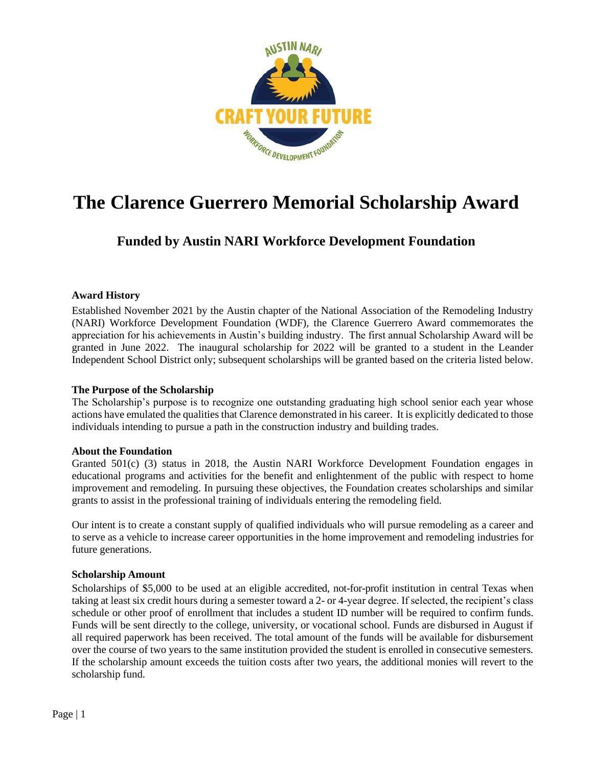

# **The Clarence Guerrero Memorial Scholarship Award**

## **Funded by Austin NARI Workforce Development Foundation**

### **Award History**

Established November 2021 by the Austin chapter of the National Association of the Remodeling Industry (NARI) Workforce Development Foundation (WDF), the Clarence Guerrero Award commemorates the appreciation for his achievements in Austin's building industry. The first annual Scholarship Award will be granted in June 2022. The inaugural scholarship for 2022 will be granted to a student in the Leander Independent School District only; subsequent scholarships will be granted based on the criteria listed below.

### **The Purpose of the Scholarship**

The Scholarship's purpose is to recognize one outstanding graduating high school senior each year whose actions have emulated the qualities that Clarence demonstrated in his career. It is explicitly dedicated to those individuals intending to pursue a path in the construction industry and building trades.

### **About the Foundation**

Granted 501(c) (3) status in 2018, the Austin NARI Workforce Development Foundation engages in educational programs and activities for the benefit and enlightenment of the public with respect to home improvement and remodeling. In pursuing these objectives, the Foundation creates scholarships and similar grants to assist in the professional training of individuals entering the remodeling field.

Our intent is to create a constant supply of qualified individuals who will pursue remodeling as a career and to serve as a vehicle to increase career opportunities in the home improvement and remodeling industries for future generations.

### **Scholarship Amount**

Scholarships of \$5,000 to be used at an eligible accredited, not-for-profit institution in central Texas when taking at least six credit hours during a semester toward a 2- or 4-year degree. If selected, the recipient's class schedule or other proof of enrollment that includes a student ID number will be required to confirm funds. Funds will be sent directly to the college, university, or vocational school. Funds are disbursed in August if all required paperwork has been received. The total amount of the funds will be available for disbursement over the course of two years to the same institution provided the student is enrolled in consecutive semesters. If the scholarship amount exceeds the tuition costs after two years, the additional monies will revert to the scholarship fund.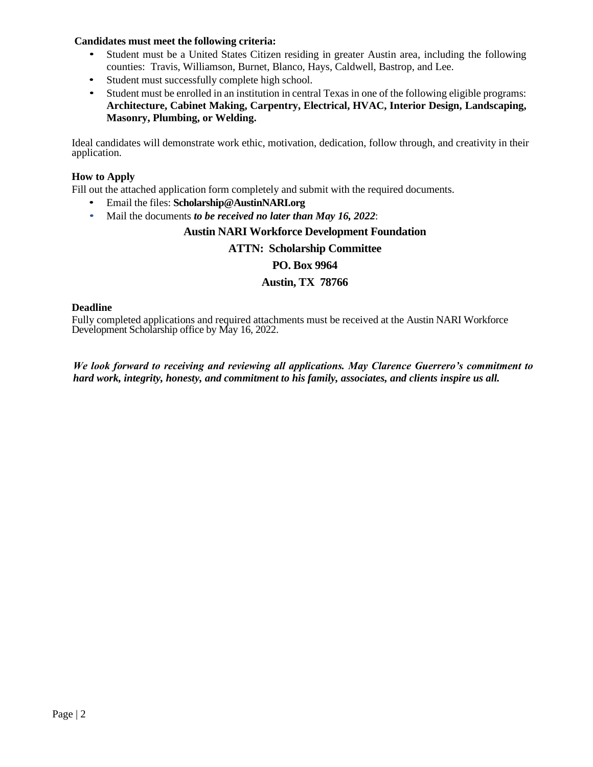### **Candidates must meet the following criteria:**

- Student must be a United States Citizen residing in greater Austin area, including the following counties: Travis, Williamson, Burnet, Blanco, Hays, Caldwell, Bastrop, and Lee.
- Student must successfully complete high school.
- Student must be enrolled in an institution in central Texas in one of the following eligible programs: **Architecture, Cabinet Making, Carpentry, Electrical, HVAC, Interior Design, Landscaping, Masonry, Plumbing, or Welding.**

Ideal candidates will demonstrate work ethic, motivation, dedication, follow through, and creativity in their application.

### **How to Apply**

Fill out the attached application form completely and submit with the required documents.

- Email the files: **Scholarship@AustinNARI.org**
- Mail the documents *to be received no later than May 16, 2022*:

### **Austin NARI Workforce Development Foundation**

### **ATTN: Scholarship Committee**

### **PO. Box 9964**

### **Austin, TX 78766**

### **Deadline**

Fully completed applications and required attachments must be received at the Austin NARI Workforce Development Scholarship office by May 16, 2022.

*We look forward to receiving and reviewing all applications. May Clarence Guerrero's commitment to hard work, integrity, honesty, and commitment to his family, associates, and clients inspire us all.*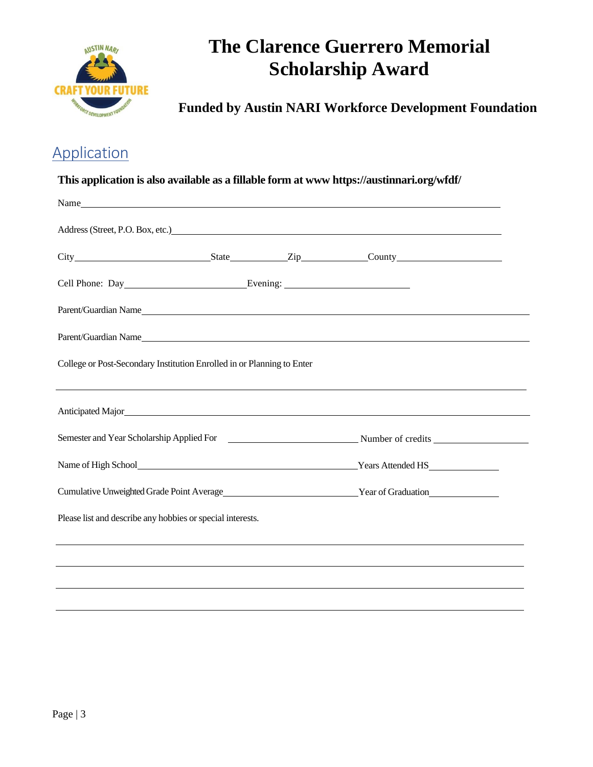

# **The Clarence Guerrero Memorial Scholarship Award**

 **Funded by Austin NARI Workforce Development Foundation**

## **Application**

### **This application is also available as a fillable form at www [https://austinnari.org/wfdf/](http://www.narimilwaukeefoundation.org/)**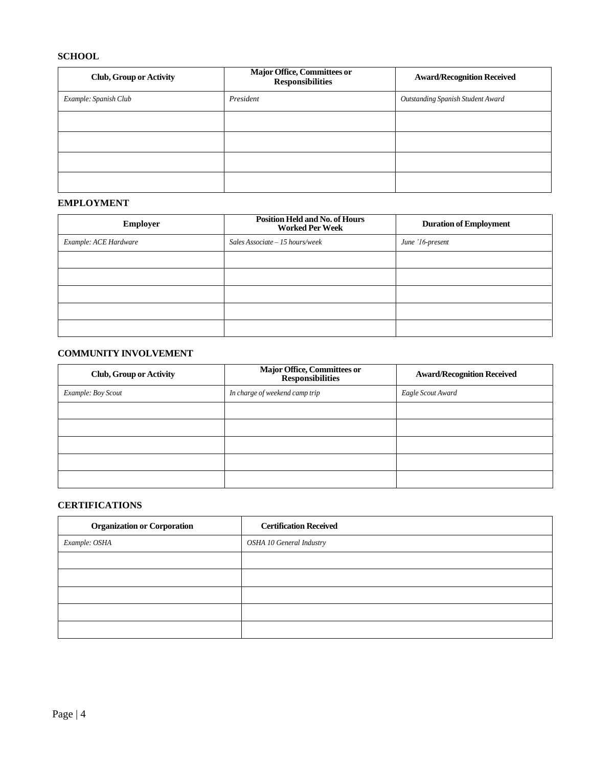### **SCHOOL**

| <b>Club, Group or Activity</b> | Major Office, Committees or<br><b>Responsibilities</b> | <b>Award/Recognition Received</b>        |
|--------------------------------|--------------------------------------------------------|------------------------------------------|
| Example: Spanish Club          | President                                              | <b>Outstanding Spanish Student Award</b> |
|                                |                                                        |                                          |
|                                |                                                        |                                          |
|                                |                                                        |                                          |
|                                |                                                        |                                          |

### **EMPLOYMENT**

| <b>Employer</b>       | <b>Position Held and No. of Hours</b><br><b>Worked Per Week</b> | <b>Duration of Employment</b> |
|-----------------------|-----------------------------------------------------------------|-------------------------------|
| Example: ACE Hardware | Sales Associate $-15$ hours/week                                | June '16-present              |
|                       |                                                                 |                               |
|                       |                                                                 |                               |
|                       |                                                                 |                               |
|                       |                                                                 |                               |
|                       |                                                                 |                               |

### **COMMUNITY INVOLVEMENT**

| <b>Club, Group or Activity</b> | <b>Major Office, Committees or<br/>Responsibilities</b> | <b>Award/Recognition Received</b> |
|--------------------------------|---------------------------------------------------------|-----------------------------------|
| Example: Boy Scout             | In charge of weekend camp trip                          | Eagle Scout Award                 |
|                                |                                                         |                                   |
|                                |                                                         |                                   |
|                                |                                                         |                                   |
|                                |                                                         |                                   |
|                                |                                                         |                                   |

### **CERTIFICATIONS**

| <b>Organization or Corporation</b> | <b>Certification Received</b> |
|------------------------------------|-------------------------------|
| Example: OSHA                      | OSHA 10 General Industry      |
|                                    |                               |
|                                    |                               |
|                                    |                               |
|                                    |                               |
|                                    |                               |